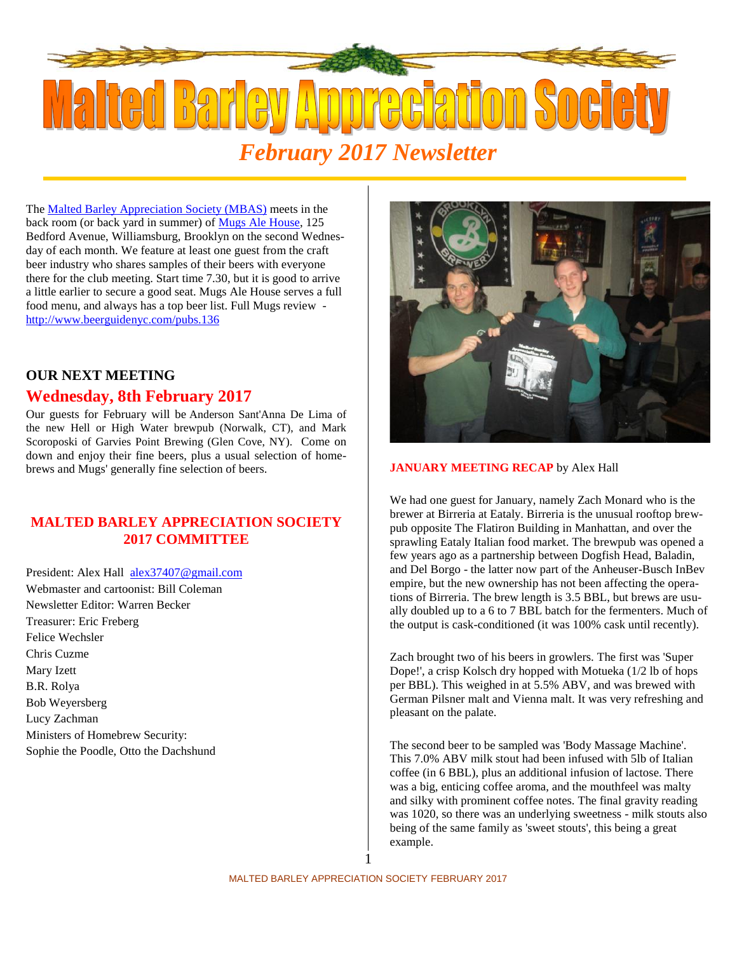

The Malted Barley Appreciation Society (MBAS) meets in the back room (or back yard in summer) of Mugs Ale House, 125 Bedford Avenue, Williamsburg, Brooklyn on the second Wednesday of each month. We feature at least one guest from the craft beer industry who shares samples of their beers with everyone there for the club meeting. Start time 7.30, but it is good to arrive a little earlier to secure a good seat. Mugs Ale House serves a full food menu, and always has a top beer list. Full Mugs review http://www.beerguidenyc.com/pubs.136

# **OUR NEXT MEETING**

## **Wednesday, 8th February 2017**

Our guests for February will be Anderson Sant'Anna De Lima of the new Hell or High Water brewpub (Norwalk, CT), and Mark Scoroposki of Garvies Point Brewing (Glen Cove, NY). Come on down and enjoy their fine beers, plus a usual selection of homebrews and Mugs' generally fine selection of beers.

### **MALTED BARLEY APPRECIATION SOCIETY 2017 COMMITTEE**

President: Alex Hall alex37407@gmail.com Webmaster and cartoonist: Bill Coleman Newsletter Editor: Warren Becker Treasurer: Eric Freberg Felice Wechsler Chris Cuzme Mary Izett B.R. Rolya Bob Weyersberg Lucy Zachman Ministers of Homebrew Security: Sophie the Poodle, Otto the Dachshund



#### **JANUARY MEETING RECAP** by Alex Hall

We had one guest for January, namely Zach Monard who is the brewer at Birreria at Eataly. Birreria is the unusual rooftop brewpub opposite The Flatiron Building in Manhattan, and over the sprawling Eataly Italian food market. The brewpub was opened a few years ago as a partnership between Dogfish Head, Baladin, and Del Borgo - the latter now part of the Anheuser-Busch InBev empire, but the new ownership has not been affecting the operations of Birreria. The brew length is 3.5 BBL, but brews are usually doubled up to a 6 to 7 BBL batch for the fermenters. Much of the output is cask-conditioned (it was 100% cask until recently).

Zach brought two of his beers in growlers. The first was 'Super Dope!', a crisp Kolsch dry hopped with Motueka (1/2 lb of hops per BBL). This weighed in at 5.5% ABV, and was brewed with German Pilsner malt and Vienna malt. It was very refreshing and pleasant on the palate.

The second beer to be sampled was 'Body Massage Machine'. This 7.0% ABV milk stout had been infused with 5lb of Italian coffee (in 6 BBL), plus an additional infusion of lactose. There was a big, enticing coffee aroma, and the mouthfeel was malty and silky with prominent coffee notes. The final gravity reading was 1020, so there was an underlying sweetness - milk stouts also being of the same family as 'sweet stouts', this being a great example.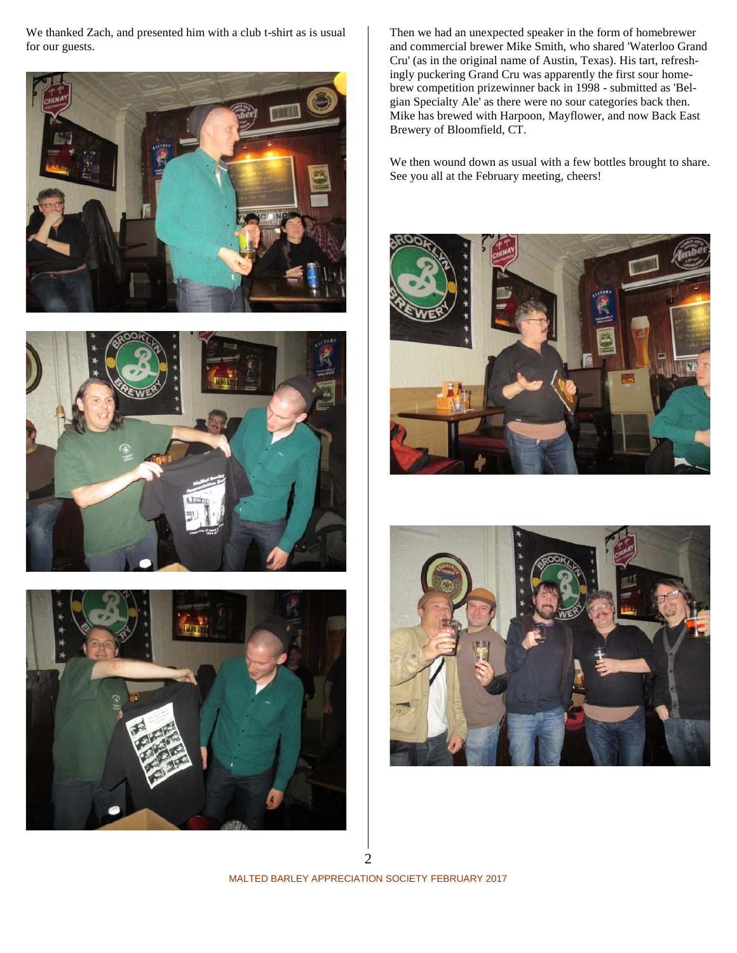We thanked Zach, and presented him with a club t-shirt as is usual for our guests.







Then we had an unexpected speaker in the form of homebrewer and commercial brewer Mike Smith, who shared 'Waterloo Grand Cru' (as in the original name of Austin, Texas). His tart, refreshingly puckering Grand Cru was apparently the first sour homebrew competition prizewinner back in 1998 - submitted as 'Belgian Specialty Ale' as there were no sour categories back then. Mike has brewed with Harpoon, Mayflower, and now Back East Brewery of Bloomfield, CT.

We then wound down as usual with a few bottles brought to share. See you all at the February meeting, cheers!





MALTED BARLEY APPRECIATION SOCIETY FEBRUARY 2017